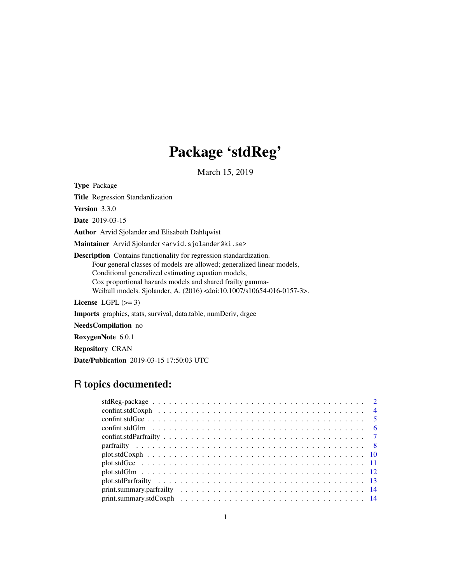# Package 'stdReg'

March 15, 2019

Type Package

Title Regression Standardization

Version 3.3.0

Date 2019-03-15

Author Arvid Sjolander and Elisabeth Dahlqwist

Maintainer Arvid Sjolander <arvid.sjolander@ki.se>

Description Contains functionality for regression standardization. Four general classes of models are allowed; generalized linear models, Conditional generalized estimating equation models, Cox proportional hazards models and shared frailty gamma-Weibull models. Sjolander, A. (2016) <doi:10.1007/s10654-016-0157-3>.

License LGPL  $(>= 3)$ 

Imports graphics, stats, survival, data.table, numDeriv, drgee

NeedsCompilation no

RoxygenNote 6.0.1

Repository CRAN

Date/Publication 2019-03-15 17:50:03 UTC

# R topics documented: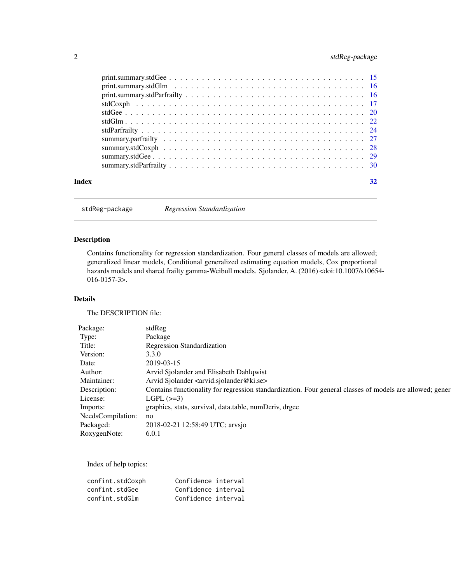# <span id="page-1-0"></span>2 stdReg-package

| Index | 32 |
|-------|----|
|       |    |

stdReg-package *Regression Standardization*

# Description

Contains functionality for regression standardization. Four general classes of models are allowed; generalized linear models, Conditional generalized estimating equation models, Cox proportional hazards models and shared frailty gamma-Weibull models. Sjolander, A. (2016) <doi:10.1007/s10654- 016-0157-3>.

#### Details

The DESCRIPTION file:

| Package:             | stdReg                                                                                                   |
|----------------------|----------------------------------------------------------------------------------------------------------|
| Type:                | Package                                                                                                  |
| Title:               | <b>Regression Standardization</b>                                                                        |
| Version:             | 3.3.0                                                                                                    |
| Date:                | 2019-03-15                                                                                               |
| Author:              | Arvid Sjolander and Elisabeth Dahlqwist                                                                  |
| Maintainer:          | Arvid Sjolander <arvid.sjolander@ki.se></arvid.sjolander@ki.se>                                          |
| Description:         | Contains functionality for regression standardization. Four general classes of models are allowed; gener |
| License:             | LGPL $(\geq=3)$                                                                                          |
| Imports:             | graphics, stats, survival, data.table, numDeriv, drgee                                                   |
| NeedsCompilation: no |                                                                                                          |
| Packaged:            | 2018-02-21 12:58:49 UTC; arvsjo                                                                          |
| RoxygenNote:         | 6.0.1                                                                                                    |

Index of help topics:

| confint.stdCoxph | Confidence interval |  |
|------------------|---------------------|--|
| confint.stdGee   | Confidence interval |  |
| confint.stdGlm   | Confidence interval |  |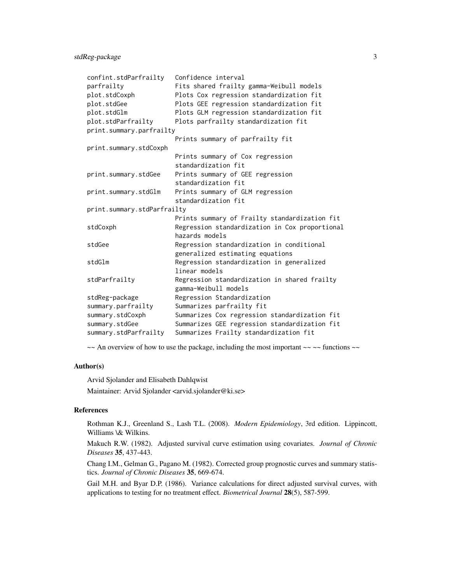| confint.stdParfrailty       | Confidence interval                            |
|-----------------------------|------------------------------------------------|
| parfrailty                  | Fits shared frailty gamma-Weibull models       |
| plot.stdCoxph               | Plots Cox regression standardization fit       |
| plot.stdGee                 | Plots GEE regression standardization fit       |
| plot.stdGlm                 | Plots GLM regression standardization fit       |
| plot.stdParfrailty          | Plots parfrailty standardization fit           |
| print.summary.parfrailty    |                                                |
|                             | Prints summary of parfrailty fit               |
| print.summary.stdCoxph      |                                                |
|                             | Prints summary of Cox regression               |
|                             | standardization fit                            |
| print.summary.stdGee        | Prints summary of GEE regression               |
|                             | standardization fit                            |
| print.summary.stdGlm        | Prints summary of GLM regression               |
|                             | standardization fit                            |
| print.summary.stdParfrailty |                                                |
|                             | Prints summary of Frailty standardization fit  |
| stdCoxph                    | Regression standardization in Cox proportional |
|                             | hazards models                                 |
| stdGee                      | Regression standardization in conditional      |
|                             | generalized estimating equations               |
| stdGlm                      | Regression standardization in generalized      |
|                             | linear models                                  |
| stdParfrailty               | Regression standardization in shared frailty   |
|                             | gamma-Weibull models                           |
| stdReg-package              | Regression Standardization                     |
| summary.parfrailty          | Summarizes parfrailty fit                      |
| summary.stdCoxph            | Summarizes Cox regression standardization fit  |
| summary.stdGee              | Summarizes GEE regression standardization fit  |
| summary.stdParfrailty       | Summarizes Frailty standardization fit         |

 $\sim$  An overview of how to use the package, including the most important  $\sim$   $\sim$  functions  $\sim$ 

#### Author(s)

Arvid Sjolander and Elisabeth Dahlqwist

Maintainer: Arvid Sjolander <arvid.sjolander@ki.se>

### References

Rothman K.J., Greenland S., Lash T.L. (2008). *Modern Epidemiology*, 3rd edition. Lippincott, Williams \& Wilkins.

Makuch R.W. (1982). Adjusted survival curve estimation using covariates. *Journal of Chronic Diseases* 35, 437-443.

Chang I.M., Gelman G., Pagano M. (1982). Corrected group prognostic curves and summary statistics. *Journal of Chronic Diseases* 35, 669-674.

Gail M.H. and Byar D.P. (1986). Variance calculations for direct adjusted survival curves, with applications to testing for no treatment effect. *Biometrical Journal* 28(5), 587-599.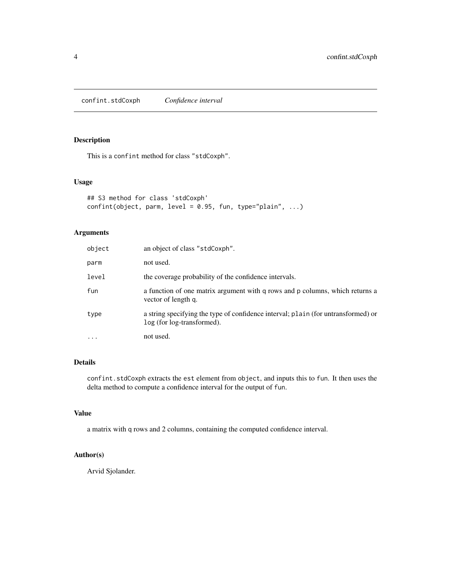<span id="page-3-0"></span>confint.stdCoxph *Confidence interval*

#### Description

This is a confint method for class "stdCoxph".

#### Usage

```
## S3 method for class 'stdCoxph'
confint(object, parm, level = 0.95, fun, type="plain", ...)
```
#### Arguments

| object   | an object of class "stdCoxph".                                                                                  |
|----------|-----------------------------------------------------------------------------------------------------------------|
| parm     | not used.                                                                                                       |
| level    | the coverage probability of the confidence intervals.                                                           |
| fun      | a function of one matrix argument with q rows and p columns, which returns a<br>vector of length q.             |
| type     | a string specifying the type of confidence interval; plain (for untransformed) or<br>log (for log-transformed). |
| $\cdots$ | not used.                                                                                                       |

# Details

confint.stdCoxph extracts the est element from object, and inputs this to fun. It then uses the delta method to compute a confidence interval for the output of fun.

# Value

a matrix with q rows and 2 columns, containing the computed confidence interval.

#### Author(s)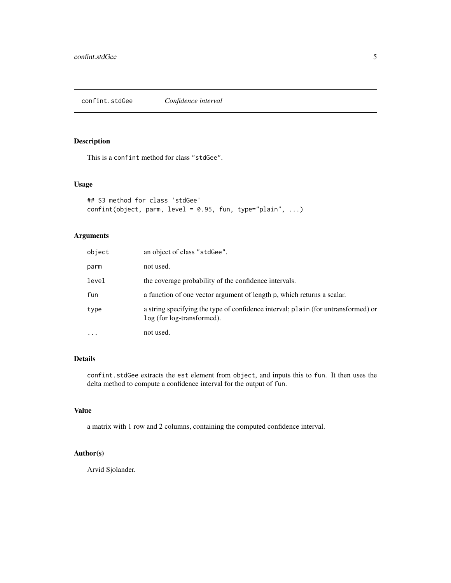#### <span id="page-4-0"></span>Description

This is a confint method for class "stdGee".

#### Usage

```
## S3 method for class 'stdGee'
confint(object, parm, level = 0.95, fun, type="plain", ...)
```
#### Arguments

| object    | an object of class "stdGee".                                                                                    |
|-----------|-----------------------------------------------------------------------------------------------------------------|
| parm      | not used.                                                                                                       |
| level     | the coverage probability of the confidence intervals.                                                           |
| fun       | a function of one vector argument of length p, which returns a scalar.                                          |
| type      | a string specifying the type of confidence interval; plain (for untransformed) or<br>log (for log-transformed). |
| $\ddotsc$ | not used.                                                                                                       |

#### Details

confint.stdGee extracts the est element from object, and inputs this to fun. It then uses the delta method to compute a confidence interval for the output of fun.

#### Value

a matrix with 1 row and 2 columns, containing the computed confidence interval.

#### Author(s)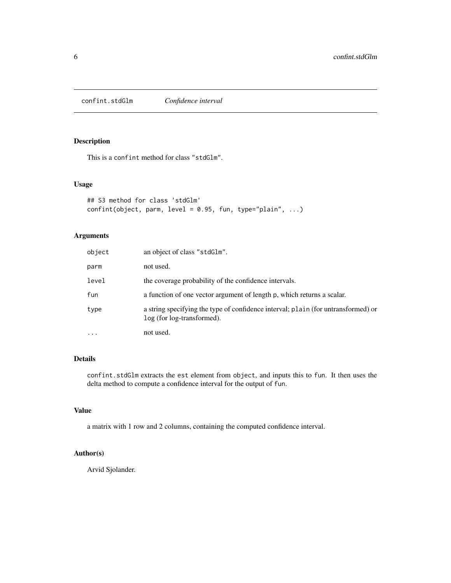<span id="page-5-0"></span>confint.stdGlm *Confidence interval*

#### Description

This is a confint method for class "stdGlm".

#### Usage

```
## S3 method for class 'stdGlm'
confint(object, parm, level = 0.95, fun, type="plain", ...)
```
#### Arguments

| object   | an object of class "stdG1m".                                                                                    |
|----------|-----------------------------------------------------------------------------------------------------------------|
| parm     | not used.                                                                                                       |
| level    | the coverage probability of the confidence intervals.                                                           |
| fun      | a function of one vector argument of length p, which returns a scalar.                                          |
| type     | a string specifying the type of confidence interval; plain (for untransformed) or<br>log (for log-transformed). |
| $\cdots$ | not used.                                                                                                       |

#### Details

confint.stdGlm extracts the est element from object, and inputs this to fun. It then uses the delta method to compute a confidence interval for the output of fun.

#### Value

a matrix with 1 row and 2 columns, containing the computed confidence interval.

#### Author(s)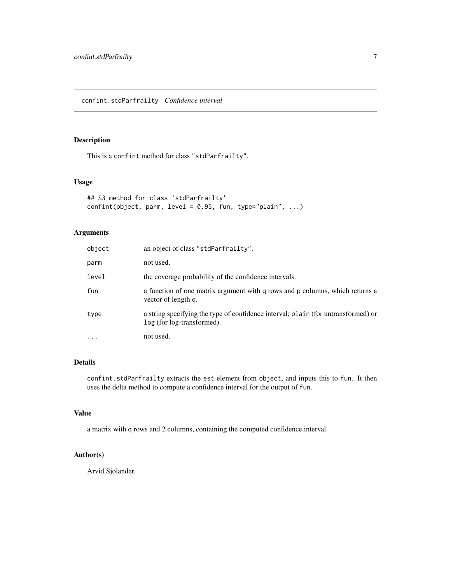#### <span id="page-6-0"></span>Description

This is a confint method for class "stdParfrailty".

#### Usage

```
## S3 method for class 'stdParfrailty'
confint(object, parm, level = 0.95, fun, type="plain", ...)
```
#### Arguments

| object   | an object of class "stdParfrailty".                                                                             |
|----------|-----------------------------------------------------------------------------------------------------------------|
| parm     | not used.                                                                                                       |
| level    | the coverage probability of the confidence intervals.                                                           |
| fun      | a function of one matrix argument with q rows and p columns, which returns a<br>vector of length q.             |
| type     | a string specifying the type of confidence interval; plain (for untransformed) or<br>log (for log-transformed). |
| $\cdots$ | not used.                                                                                                       |

# Details

confint.stdParfrailty extracts the est element from object, and inputs this to fun. It then uses the delta method to compute a confidence interval for the output of fun.

#### Value

a matrix with q rows and 2 columns, containing the computed confidence interval.

#### Author(s)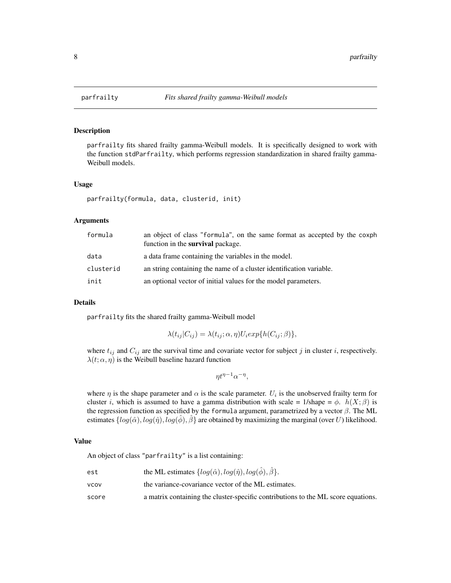<span id="page-7-1"></span><span id="page-7-0"></span>

#### Description

parfrailty fits shared frailty gamma-Weibull models. It is specifically designed to work with the function stdParfrailty, which performs regression standardization in shared frailty gamma-Weibull models.

#### Usage

```
parfrailty(formula, data, clusterid, init)
```
#### Arguments

| formula   | an object of class "formula", on the same format as accepted by the coxph<br>function in the <b>survival</b> package. |
|-----------|-----------------------------------------------------------------------------------------------------------------------|
| data      | a data frame containing the variables in the model.                                                                   |
| clusterid | an string containing the name of a cluster identification variable.                                                   |
| init      | an optional vector of initial values for the model parameters.                                                        |

#### Details

parfrailty fits the shared frailty gamma-Weibull model

$$
\lambda(t_{ij}|C_{ij}) = \lambda(t_{ij}; \alpha, \eta)U_i exp\{h(C_{ij}; \beta)\},\
$$

where  $t_{ij}$  and  $C_{ij}$  are the survival time and covariate vector for subject j in cluster i, respectively.  $\lambda(t; \alpha, \eta)$  is the Weibull baseline hazard function

$$
\eta t^{\eta - 1} \alpha^{-\eta},
$$

where  $\eta$  is the shape parameter and  $\alpha$  is the scale parameter.  $U_i$  is the unobserved frailty term for cluster *i*, which is assumed to have a gamma distribution with scale = 1/shape =  $\phi$ .  $h(X; \beta)$  is the regression function as specified by the formula argument, parametrized by a vector  $\beta$ . The ML estimates  $\{log(\hat{\alpha}), log(\hat{\eta}), log(\phi), \beta\}$  are obtained by maximizing the marginal (over U) likelihood.

#### Value

An object of class "parfrailty" is a list containing:

| est   | the ML estimates $\{log(\hat{\alpha}), log(\hat{\eta}), log(\hat{\phi}), \hat{\beta}\}.$ |
|-------|------------------------------------------------------------------------------------------|
| vcov  | the variance-covariance vector of the ML estimates.                                      |
| score | a matrix containing the cluster-specific contributions to the ML score equations.        |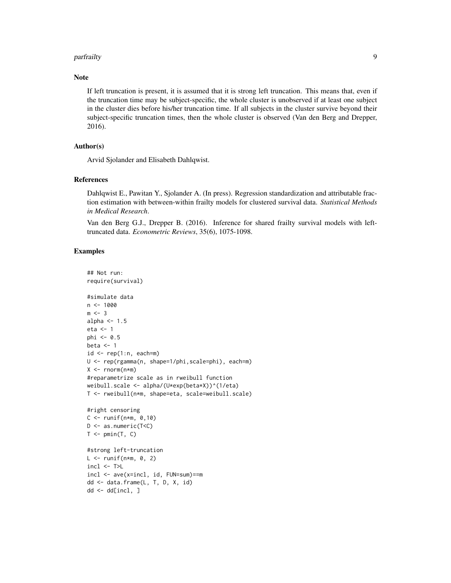#### parfrailty 9

#### Note

If left truncation is present, it is assumed that it is strong left truncation. This means that, even if the truncation time may be subject-specific, the whole cluster is unobserved if at least one subject in the cluster dies before his/her truncation time. If all subjects in the cluster survive beyond their subject-specific truncation times, then the whole cluster is observed (Van den Berg and Drepper, 2016).

# Author(s)

Arvid Sjolander and Elisabeth Dahlqwist.

#### References

Dahlqwist E., Pawitan Y., Sjolander A. (In press). Regression standardization and attributable fraction estimation with between-within frailty models for clustered survival data. *Statistical Methods in Medical Research*.

Van den Berg G.J., Drepper B. (2016). Inference for shared frailty survival models with lefttruncated data. *Econometric Reviews*, 35(6), 1075-1098.

#### Examples

```
## Not run:
require(survival)
#simulate data
n < -1000m \leq -3alpha <-1.5eta <- 1
phi < -0.5beta <-1id \leq rep(1:n, each=m)U <- rep(rgamma(n, shape=1/phi,scale=phi), each=m)
X \leq -rnorm(n*m)#reparametrize scale as in rweibull function
weibull.scale <- alpha/(U*exp(beta*X))^(1/eta)
T <- rweibull(n*m, shape=eta, scale=weibull.scale)
#right censoring
C \le runif(n*m, 0,10)
D <- as.numeric(T<C)
T \leftarrow pmin(T, C)#strong left-truncation
L \le runif(n*m, 0, 2)
incl \leftarrow \textsf{T>L}incl <- ave(x=incl, id, FUN=sum)==m
dd <- data.frame(L, T, D, X, id)
dd <- dd[incl, ]
```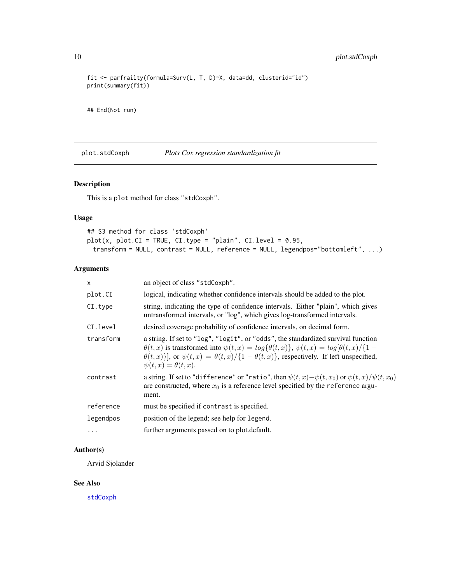```
fit <- parfrailty(formula=Surv(L, T, D)~X, data=dd, clusterid="id")
print(summary(fit))
```
## End(Not run)

plot.stdCoxph *Plots Cox regression standardization fit*

#### Description

This is a plot method for class "stdCoxph".

#### Usage

```
## S3 method for class 'stdCoxph'
plot(x, plot.CI = TRUE, CI.type = "plain", CI.level = 0.95,
 transform = NULL, contrast = NULL, reference = NULL, legendpos="bottomleft", ...)
```
#### Arguments

| $\mathsf{x}$ | an object of class "stdCoxph".                                                                                                                                                                                                                                                                                                      |
|--------------|-------------------------------------------------------------------------------------------------------------------------------------------------------------------------------------------------------------------------------------------------------------------------------------------------------------------------------------|
| plot.CI      | logical, indicating whether confidence intervals should be added to the plot.                                                                                                                                                                                                                                                       |
| CI.type      | string, indicating the type of confidence intervals. Either "plain", which gives<br>untransformed intervals, or "log", which gives log-transformed intervals.                                                                                                                                                                       |
| CI.level     | desired coverage probability of confidence intervals, on decimal form.                                                                                                                                                                                                                                                              |
| transform    | a string. If set to "log", "logit", or "odds", the standardized survival function<br>$\theta(t,x)$ is transformed into $\psi(t,x) = log{\theta(t,x)}$ , $\psi(t,x) = log{\theta(t,x)}/\{1 -$<br>$\theta(t,x)$ ], or $\psi(t,x) = \theta(t,x)/\{1-\theta(t,x)\}\$ , respectively. If left unspecified,<br>$\psi(t,x) = \theta(t,x).$ |
| contrast     | a string. If set to "difference" or "ratio", then $\psi(t,x) - \psi(t,x_0)$ or $\psi(t,x)/\psi(t,x_0)$<br>are constructed, where $x_0$ is a reference level specified by the reference argu-<br>ment.                                                                                                                               |
| reference    | must be specified if contrast is specified.                                                                                                                                                                                                                                                                                         |
| legendpos    | position of the legend; see help for legend.                                                                                                                                                                                                                                                                                        |
| $\cdots$     | further arguments passed on to plot.default.                                                                                                                                                                                                                                                                                        |

# Author(s)

Arvid Sjolander

#### See Also

[stdCoxph](#page-16-1)

<span id="page-9-0"></span>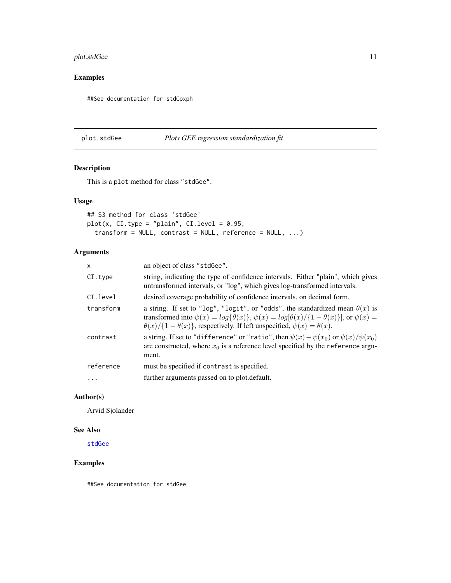#### <span id="page-10-0"></span>plot.stdGee 11

# Examples

##See documentation for stdCoxph

#### plot.stdGee *Plots GEE regression standardization fit*

# Description

This is a plot method for class "stdGee".

#### Usage

```
## S3 method for class 'stdGee'
plot(x, CI.type = "plain", CI.teve1 = 0.95,transform = NULL, contrast = NULL, reference = NULL, ...)
```
#### Arguments

| x         | an object of class "stdGee".                                                                                                                                                                                                                                                                           |
|-----------|--------------------------------------------------------------------------------------------------------------------------------------------------------------------------------------------------------------------------------------------------------------------------------------------------------|
| CI.type   | string, indicating the type of confidence intervals. Either "plain", which gives<br>untransformed intervals, or "log", which gives log-transformed intervals.                                                                                                                                          |
| CI.level  | desired coverage probability of confidence intervals, on decimal form.                                                                                                                                                                                                                                 |
| transform | a string. If set to "log", "logit", or "odds", the standardized mean $\theta(x)$ is<br>transformed into $\psi(x) = \log{\{\theta(x)\}}$ , $\psi(x) = \log{\theta(x)}/\{1-\theta(x)\}\}\$ , or $\psi(x) =$<br>$\theta(x)/\{1-\theta(x)\}\$ , respectively. If left unspecified, $\psi(x) = \theta(x)$ . |
| contrast  | a string. If set to "difference" or "ratio", then $\psi(x) - \psi(x_0)$ or $\psi(x)/\psi(x_0)$<br>are constructed, where $x_0$ is a reference level specified by the reference argu-<br>ment.                                                                                                          |
| reference | must be specified if contrast is specified.                                                                                                                                                                                                                                                            |
| $\ddots$  | further arguments passed on to plot.default.                                                                                                                                                                                                                                                           |
|           |                                                                                                                                                                                                                                                                                                        |

#### Author(s)

Arvid Sjolander

# See Also

[stdGee](#page-19-1)

#### Examples

##See documentation for stdGee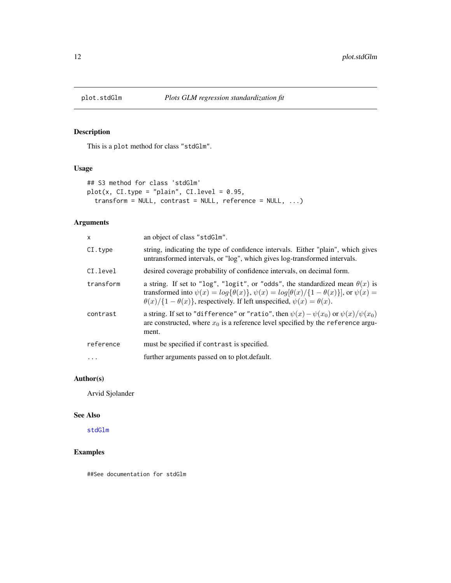<span id="page-11-0"></span>

# Description

This is a plot method for class "stdGlm".

#### Usage

```
## S3 method for class 'stdGlm'
plot(x, CI-type = "plain", CI-level = 0.95,transform = NULL, contrast = NULL, reference = NULL, ...)
```
#### Arguments

| x         | an object of class "stdGlm".                                                                                                                                                                                                                                                                        |
|-----------|-----------------------------------------------------------------------------------------------------------------------------------------------------------------------------------------------------------------------------------------------------------------------------------------------------|
| CI.type   | string, indicating the type of confidence intervals. Either "plain", which gives<br>untransformed intervals, or "log", which gives log-transformed intervals.                                                                                                                                       |
| CI.level  | desired coverage probability of confidence intervals, on decimal form.                                                                                                                                                                                                                              |
| transform | a string. If set to "log", "logit", or "odds", the standardized mean $\theta(x)$ is<br>transformed into $\psi(x) = \log{\{\theta(x)\}}$ , $\psi(x) = \log{\theta(x)/\{1-\theta(x)\}}$ , or $\psi(x) =$<br>$\theta(x)/\{1-\theta(x)\}\$ , respectively. If left unspecified, $\psi(x) = \theta(x)$ . |
| contrast  | a string. If set to "difference" or "ratio", then $\psi(x) - \psi(x_0)$ or $\psi(x)/\psi(x_0)$<br>are constructed, where $x_0$ is a reference level specified by the reference argu-<br>ment.                                                                                                       |
| reference | must be specified if contrast is specified.                                                                                                                                                                                                                                                         |
|           | further arguments passed on to plot. default.                                                                                                                                                                                                                                                       |

#### Author(s)

Arvid Sjolander

#### See Also

[stdGlm](#page-21-1)

# Examples

##See documentation for stdGlm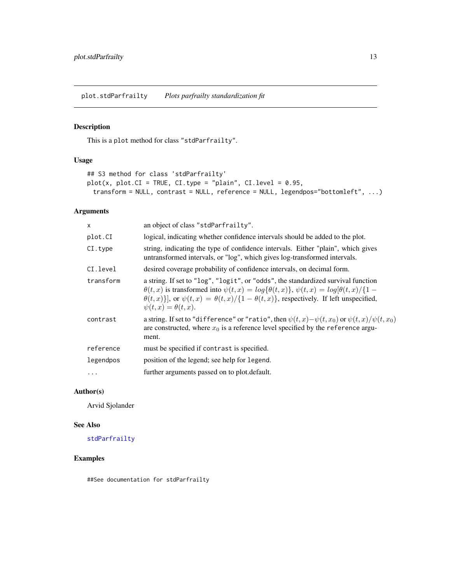<span id="page-12-0"></span>plot.stdParfrailty *Plots parfrailty standardization fit*

#### Description

This is a plot method for class "stdParfrailty".

#### Usage

```
## S3 method for class 'stdParfrailty'
plot(x, plot.CI = TRUE, CI-type = "plain", CI-level = 0.95,transform = NULL, contrast = NULL, reference = NULL, legendpos="bottomleft", ...)
```
#### Arguments

| $\times$  | an object of class "stdParfrailty".                                                                                                                                                                                                                                                                                                        |
|-----------|--------------------------------------------------------------------------------------------------------------------------------------------------------------------------------------------------------------------------------------------------------------------------------------------------------------------------------------------|
| plot.CI   | logical, indicating whether confidence intervals should be added to the plot.                                                                                                                                                                                                                                                              |
| CI.type   | string, indicating the type of confidence intervals. Either "plain", which gives<br>untransformed intervals, or "log", which gives log-transformed intervals.                                                                                                                                                                              |
| CI.level  | desired coverage probability of confidence intervals, on decimal form.                                                                                                                                                                                                                                                                     |
| transform | a string. If set to "log", "logit", or "odds", the standardized survival function<br>$\theta(t, x)$ is transformed into $\psi(t, x) = log{\theta(t, x)}$ , $\psi(t, x) = log{\theta(t, x)}/\{1 -$<br>$\theta(t,x)$ ], or $\psi(t,x) = \theta(t,x)/\{1-\theta(t,x)\}\$ , respectively. If left unspecified,<br>$\psi(t, x) = \theta(t, x).$ |
| contrast  | a string. If set to "difference" or "ratio", then $\psi(t,x) - \psi(t,x_0)$ or $\psi(t,x)/\psi(t,x_0)$<br>are constructed, where $x_0$ is a reference level specified by the reference argu-<br>ment.                                                                                                                                      |
| reference | must be specified if contrast is specified.                                                                                                                                                                                                                                                                                                |
| legendpos | position of the legend; see help for legend.                                                                                                                                                                                                                                                                                               |
| $\cdots$  | further arguments passed on to plot.default.                                                                                                                                                                                                                                                                                               |

#### Author(s)

Arvid Sjolander

#### See Also

[stdParfrailty](#page-23-1)

#### Examples

##See documentation for stdParfrailty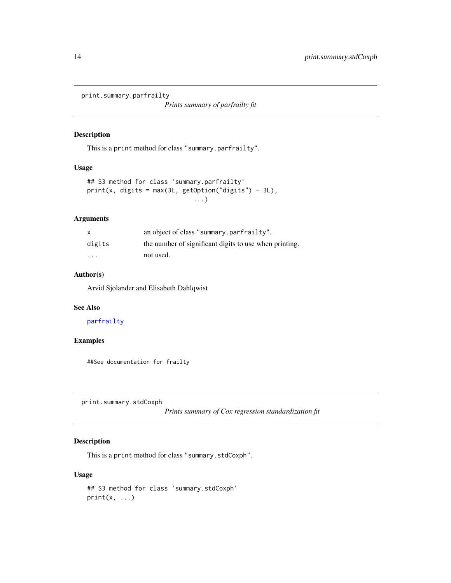<span id="page-13-0"></span>print.summary.parfrailty

*Prints summary of parfrailty fit*

#### Description

This is a print method for class "summary.parfrailty".

#### Usage

```
## S3 method for class 'summary.parfrailty'
print(x, digits = max(3L, getOption("digits") - 3L),
                             ...)
```
# Arguments

| X                       | an object of class "summary.parfrailty".               |
|-------------------------|--------------------------------------------------------|
| digits                  | the number of significant digits to use when printing. |
| $\cdot$ $\cdot$ $\cdot$ | not used.                                              |

#### Author(s)

Arvid Sjolander and Elisabeth Dahlqwist

#### See Also

[parfrailty](#page-7-1)

#### Examples

##See documentation for frailty

print.summary.stdCoxph

*Prints summary of Cox regression standardization fit*

#### Description

This is a print method for class "summary.stdCoxph".

```
## S3 method for class 'summary.stdCoxph'
print(x, \ldots)
```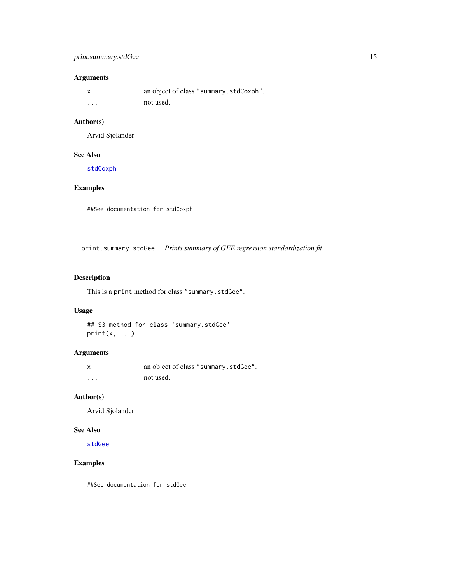#### <span id="page-14-0"></span>print.summary.stdGee 15

### Arguments

|          | an object of class "summary.stdCoxph". |
|----------|----------------------------------------|
| $\cdots$ | not used.                              |

#### Author(s)

Arvid Sjolander

### See Also

[stdCoxph](#page-16-1)

#### Examples

##See documentation for stdCoxph

print.summary.stdGee *Prints summary of GEE regression standardization fit*

#### Description

This is a print method for class "summary.stdGee".

#### Usage

## S3 method for class 'summary.stdGee'  $print(x, \ldots)$ 

# Arguments

| x        | an object of class "summary.stdGee". |
|----------|--------------------------------------|
| $\cdots$ | not used.                            |

#### Author(s)

Arvid Sjolander

#### See Also

[stdGee](#page-19-1)

#### Examples

##See documentation for stdGee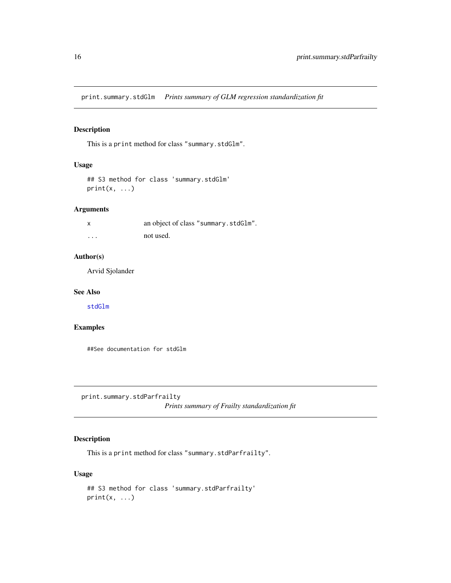<span id="page-15-0"></span>print.summary.stdGlm *Prints summary of GLM regression standardization fit*

# Description

This is a print method for class "summary.stdGlm".

#### Usage

```
## S3 method for class 'summary.stdGlm'
print(x, \ldots)
```
#### Arguments

|          | an object of class "summary.stdGlm". |
|----------|--------------------------------------|
| $\cdots$ | not used.                            |

#### Author(s)

Arvid Sjolander

#### See Also

[stdGlm](#page-21-1)

#### Examples

##See documentation for stdGlm

print.summary.stdParfrailty

*Prints summary of Frailty standardization fit*

# Description

This is a print method for class "summary.stdParfrailty".

```
## S3 method for class 'summary.stdParfrailty'
print(x, \ldots)
```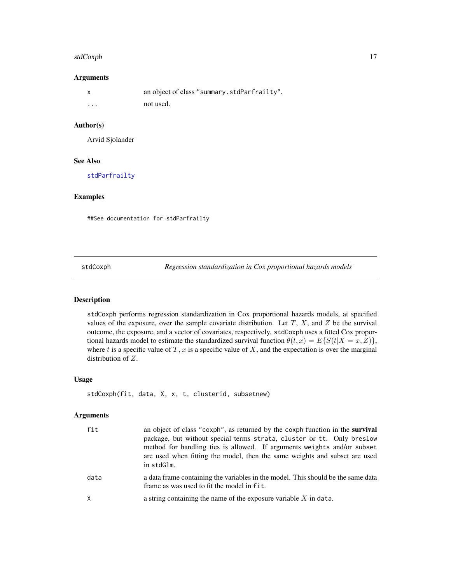#### <span id="page-16-0"></span>stdCoxph 17

#### Arguments

|          | an object of class "summary.stdParfrailty". |
|----------|---------------------------------------------|
| $\cdots$ | not used.                                   |

# Author(s)

Arvid Sjolander

#### See Also

[stdParfrailty](#page-23-1)

#### Examples

##See documentation for stdParfrailty

<span id="page-16-1"></span>stdCoxph *Regression standardization in Cox proportional hazards models*

#### Description

stdCoxph performs regression standardization in Cox proportional hazards models, at specified values of the exposure, over the sample covariate distribution. Let  $T$ ,  $X$ , and  $Z$  be the survival outcome, the exposure, and a vector of covariates, respectively. stdCoxph uses a fitted Cox proportional hazards model to estimate the standardized survival function  $\theta(t, x) = E\{S(t|X = x, Z)\}\,$ where t is a specific value of T, x is a specific value of X, and the expectation is over the marginal distribution of Z.

#### Usage

```
stdCoxph(fit, data, X, x, t, clusterid, subsetnew)
```
#### Arguments

| fit      | an object of class "coxph", as returned by the coxph function in the <b>survival</b><br>package, but without special terms strata, cluster or tt. Only breslow<br>method for handling ties is allowed. If arguments weights and/or subset<br>are used when fitting the model, then the same weights and subset are used<br>in stdGlm. |
|----------|---------------------------------------------------------------------------------------------------------------------------------------------------------------------------------------------------------------------------------------------------------------------------------------------------------------------------------------|
| data     | a data frame containing the variables in the model. This should be the same data<br>frame as was used to fit the model in fit.                                                                                                                                                                                                        |
| $\times$ | a string containing the name of the exposure variable $X$ in data.                                                                                                                                                                                                                                                                    |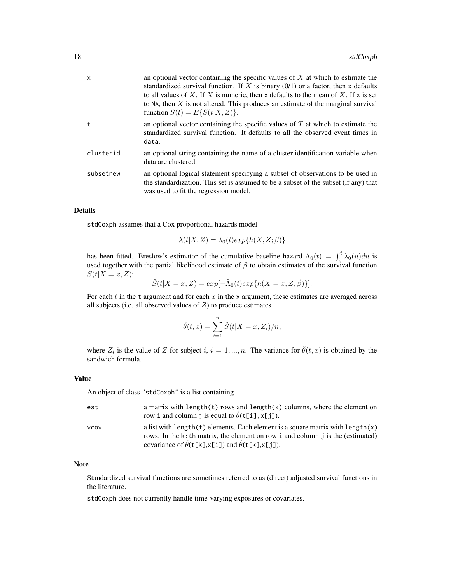| $\mathsf{x}$ | an optional vector containing the specific values of $X$ at which to estimate the<br>standardized survival function. If X is binary $(0/1)$ or a factor, then x defaults<br>to all values of X. If X is numeric, then x defaults to the mean of X. If x is set<br>to NA, then $X$ is not altered. This produces an estimate of the marginal survival<br>function $S(t) = E\{S(t X,Z)\}.$ |
|--------------|------------------------------------------------------------------------------------------------------------------------------------------------------------------------------------------------------------------------------------------------------------------------------------------------------------------------------------------------------------------------------------------|
| t            | an optional vector containing the specific values of $T$ at which to estimate the<br>standardized survival function. It defaults to all the observed event times in<br>data.                                                                                                                                                                                                             |
| clusterid    | an optional string containing the name of a cluster identification variable when<br>data are clustered.                                                                                                                                                                                                                                                                                  |
| subsetnew    | an optional logical statement specifying a subset of observations to be used in<br>the standardization. This set is assumed to be a subset of the subset (if any) that<br>was used to fit the regression model.                                                                                                                                                                          |

# Details

stdCoxph assumes that a Cox proportional hazards model

$$
\lambda(t|X,Z) = \lambda_0(t) exp\{h(X,Z;\beta)\}
$$

has been fitted. Breslow's estimator of the cumulative baseline hazard  $\Lambda_0(t) = \int_0^t \lambda_0(u) du$  is used together with the partial likelihood estimate of  $\beta$  to obtain estimates of the survival function  $S(t|X=x,Z)$ :

$$
\hat{S}(t|X=x,Z) = exp[-\hat{\Lambda}_0(t)exp\{h(X=x,Z;\hat{\beta})\}].
$$

For each  $t$  in the t argument and for each  $x$  in the x argument, these estimates are averaged across all subjects (i.e. all observed values of  $Z$ ) to produce estimates

$$
\hat{\theta}(t,x) = \sum_{i=1}^{n} \hat{S}(t|X=x, Z_i)/n,
$$

where  $Z_i$  is the value of Z for subject i,  $i = 1, ..., n$ . The variance for  $\hat{\theta}(t, x)$  is obtained by the sandwich formula.

#### Value

An object of class "stdCoxph" is a list containing

| est         | a matrix with length(t) rows and length(x) columns, where the element on<br>row i and column j is equal to $\hat{\theta}$ (t[i], x[j]).                                                                                                                    |
|-------------|------------------------------------------------------------------------------------------------------------------------------------------------------------------------------------------------------------------------------------------------------------|
| <b>VCOV</b> | a list with length $(t)$ elements. Each element is a square matrix with length $(x)$<br>rows. In the k: th matrix, the element on row i and column $\gamma$ is the (estimated)<br>covariance of $\hat{\theta}$ (t[k],x[i]) and $\hat{\theta}$ (t[k],x[j]). |

#### Note

Standardized survival functions are sometimes referred to as (direct) adjusted survival functions in the literature.

stdCoxph does not currently handle time-varying exposures or covariates.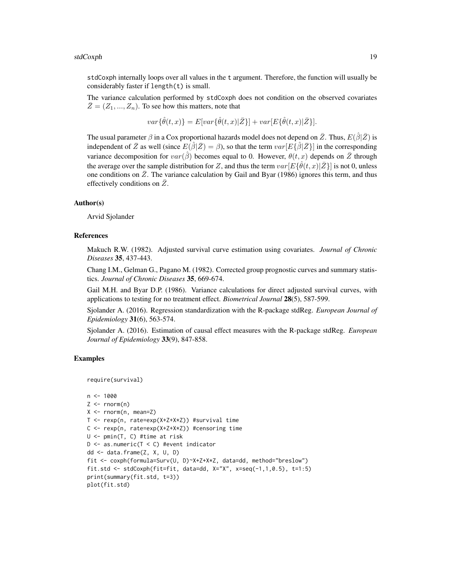stdCoxph internally loops over all values in the t argument. Therefore, the function will usually be considerably faster if length(t) is small.

The variance calculation performed by stdCoxph does not condition on the observed covariates  $\overline{Z} = (Z_1, ..., Z_n)$ . To see how this matters, note that

 $var\{\hat{\theta}(t,x)\}=E|var\{\hat{\theta}(t,x)|\bar{Z}\}|+var[E\{\hat{\theta}(t,x)|\bar{Z}\}].$ 

The usual parameter  $\beta$  in a Cox proportional hazards model does not depend on  $\bar{Z}$ . Thus,  $E(\hat{\beta}|\bar{Z})$  is independent of  $\bar{Z}$  as well (since  $E(\hat{\beta}|\bar{Z}) = \beta$ ), so that the term  $var[E\{\hat{\beta}|\bar{Z}\}]$  in the corresponding variance decomposition for  $var(\hat{\beta})$  becomes equal to 0. However,  $\theta(t, x)$  depends on  $\overline{Z}$  through the average over the sample distribution for Z, and thus the term  $var[E\{\hat{\theta}(t,x)|\bar{Z}\}]$  is not 0, unless one conditions on  $Z$ . The variance calculation by Gail and Byar (1986) ignores this term, and thus effectively conditions on  $\overline{Z}$ .

#### Author(s)

Arvid Sjolander

#### References

Makuch R.W. (1982). Adjusted survival curve estimation using covariates. *Journal of Chronic Diseases* 35, 437-443.

Chang I.M., Gelman G., Pagano M. (1982). Corrected group prognostic curves and summary statistics. *Journal of Chronic Diseases* 35, 669-674.

Gail M.H. and Byar D.P. (1986). Variance calculations for direct adjusted survival curves, with applications to testing for no treatment effect. *Biometrical Journal* 28(5), 587-599.

Sjolander A. (2016). Regression standardization with the R-package stdReg. *European Journal of Epidemiology* 31(6), 563-574.

Sjolander A. (2016). Estimation of causal effect measures with the R-package stdReg. *European Journal of Epidemiology* 33(9), 847-858.

#### Examples

```
require(survival)
```

```
n < - 1000Z \leftarrow \text{norm}(n)X \leq -rnorm(n, mean=Z)T <- rexp(n, rate=exp(X+Z+X*Z)) #survival time
C <- rexp(n, rate=exp(X+Z+X*Z)) #censoring time
U <- pmin(T, C) #time at risk
D \le - as.numeric(T \le C) #event indicator
dd <- data.frame(Z, X, U, D)
fit <- coxph(formula=Surv(U, D)~X+Z+X*Z, data=dd, method="breslow")
fit.std <- stdCoxph(fit=fit, data=dd, X="X", x=seq(-1,1,0.5), t=1:5)
print(summary(fit.std, t=3))
plot(fit.std)
```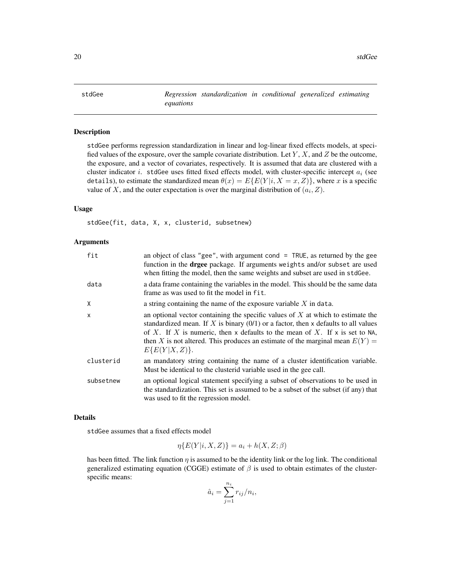<span id="page-19-1"></span><span id="page-19-0"></span>stdGee *Regression standardization in conditional generalized estimating equations*

#### Description

stdGee performs regression standardization in linear and log-linear fixed effects models, at specified values of the exposure, over the sample covariate distribution. Let  $Y, X$ , and  $Z$  be the outcome, the exposure, and a vector of covariates, respectively. It is assumed that data are clustered with a cluster indicator i. stdGee uses fitted fixed effects model, with cluster-specific intercept  $a_i$  (see details), to estimate the standardized mean  $\theta(x) = E\{E(Y|i, X = x, Z)\}\,$ , where x is a specific value of X, and the outer expectation is over the marginal distribution of  $(a_i, Z)$ .

### Usage

stdGee(fit, data, X, x, clusterid, subsetnew)

#### Arguments

| fit          | an object of class "gee", with argument cond $=$ TRUE, as returned by the gee<br>function in the <b>drgee</b> package. If arguments weights and/or subset are used<br>when fitting the model, then the same weights and subset are used in stdGee.                                                                                                             |
|--------------|----------------------------------------------------------------------------------------------------------------------------------------------------------------------------------------------------------------------------------------------------------------------------------------------------------------------------------------------------------------|
| data         | a data frame containing the variables in the model. This should be the same data<br>frame as was used to fit the model in fit.                                                                                                                                                                                                                                 |
| X            | a string containing the name of the exposure variable $X$ in data.                                                                                                                                                                                                                                                                                             |
| $\mathsf{x}$ | an optional vector containing the specific values of $X$ at which to estimate the<br>standardized mean. If X is binary $(0/1)$ or a factor, then x defaults to all values<br>of X. If X is numeric, then x defaults to the mean of X. If x is set to NA,<br>then X is not altered. This produces an estimate of the marginal mean $E(Y) =$<br>$E\{E(Y X,Z)\}.$ |
| clusterid    | an mandatory string containing the name of a cluster identification variable.<br>Must be identical to the clusterid variable used in the gee call.                                                                                                                                                                                                             |
| subsetnew    | an optional logical statement specifying a subset of observations to be used in<br>the standardization. This set is assumed to be a subset of the subset (if any) that<br>was used to fit the regression model.                                                                                                                                                |

#### Details

stdGee assumes that a fixed effects model

$$
\eta\{E(Y|i, X, Z)\} = a_i + h(X, Z; \beta)
$$

has been fitted. The link function  $\eta$  is assumed to be the identity link or the log link. The conditional generalized estimating equation (CGGE) estimate of  $\beta$  is used to obtain estimates of the clusterspecific means:

$$
\hat{a}_i = \sum_{j=1}^{n_i} r_{ij} / n_i,
$$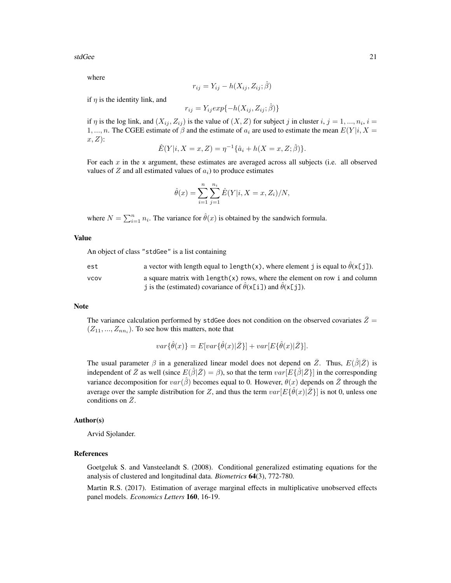stdGee 21

where

$$
r_{ij} = Y_{ij} - h(X_{ij}, Z_{ij}; \hat{\beta})
$$

if  $\eta$  is the identity link, and

$$
r_{ij} = Y_{ij} exp\{-h(X_{ij}, Z_{ij}; \hat{\beta})\}
$$

if  $\eta$  is the log link, and  $(X_{ij}, Z_{ij})$  is the value of  $(X, Z)$  for subject j in cluster  $i, j = 1, ..., n_i, i =$ 1, ..., n. The CGEE estimate of  $\beta$  and the estimate of  $a_i$  are used to estimate the mean  $E(Y|i, X =$  $x, Z$ :

$$
\hat{E}(Y|i, X = x, Z) = \eta^{-1} \{ \hat{a}_i + h(X = x, Z; \hat{\beta}) \}.
$$

For each  $x$  in the x argument, these estimates are averaged across all subjects (i.e. all observed values of  $Z$  and all estimated values of  $a_i$ ) to produce estimates

$$
\hat{\theta}(x) = \sum_{i=1}^{n} \sum_{j=1}^{n_i} \hat{E}(Y|i, X = x, Z_i)/N,
$$

where  $N = \sum_{i=1}^{n} n_i$ . The variance for  $\hat{\theta}(x)$  is obtained by the sandwich formula.

#### Value

An object of class "stdGee" is a list containing

| est         | a vector with length equal to length(x), where element j is equal to $\hat{\theta}(x[j])$ . |
|-------------|---------------------------------------------------------------------------------------------|
| <b>VCOV</b> | a square matrix with $length(x)$ rows, where the element on row i and column                |
|             | j is the (estimated) covariance of $\theta(x[i])$ and $\theta(x[j])$ .                      |

#### Note

The variance calculation performed by stdGee does not condition on the observed covariates  $\bar{Z}$  =  $(Z_{11},..., Z_{nn_i})$ . To see how this matters, note that

$$
var\{\hat{\theta}(x)\} = E[var\{\hat{\theta}(x)|\bar{Z}\}] + var[E\{\hat{\theta}(x)|\bar{Z}\}].
$$

The usual parameter  $\beta$  in a generalized linear model does not depend on  $\bar{Z}$ . Thus,  $E(\hat{\beta}|\bar{Z})$  is independent of  $\bar{Z}$  as well (since  $E(\hat{\beta}|\bar{Z}) = \beta$ ), so that the term  $var[E\{\hat{\beta}|\bar{Z}\}]$  in the corresponding variance decomposition for  $var(\hat{\beta})$  becomes equal to 0. However,  $\theta(x)$  depends on  $\overline{Z}$  through the average over the sample distribution for Z, and thus the term  $var[E\{\hat{\theta}(x)|\bar{Z}\}]$  is not 0, unless one conditions on  $\overline{Z}$ .

#### Author(s)

Arvid Sjolander.

#### References

Goetgeluk S. and Vansteelandt S. (2008). Conditional generalized estimating equations for the analysis of clustered and longitudinal data. *Biometrics* 64(3), 772-780.

Martin R.S. (2017). Estimation of average marginal effects in multiplicative unobserved effects panel models. *Economics Letters* 160, 16-19.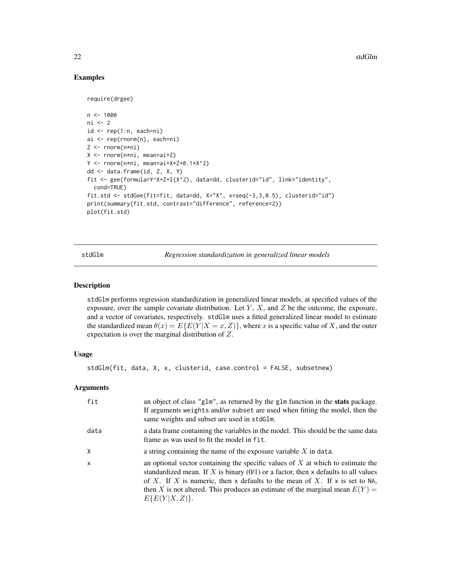#### Examples

```
require(drgee)
n < -1000ni <- 2
id \leftarrow rep(1:n, each=ni)ai <- rep(rnorm(n), each=ni)
Z <- rnorm(n*ni)
X <- rnorm(n*ni, mean=ai+Z)
Y <- rnorm(n*ni, mean=ai+X+Z+0.1*X^2)
dd <- data.frame(id, Z, X, Y)
fit <- gee(formula=Y~X+Z+I(X^2), data=dd, clusterid="id", link="identity",
  cond=TRUE)
fit.std <- stdGee(fit=fit, data=dd, X="X", x=seq(-3,3,0.5), clusterid="id")
print(summary(fit.std, contrast="difference", reference=2))
plot(fit.std)
```
<span id="page-21-1"></span>stdGlm *Regression standardization in generalized linear models*

#### Description

stdGlm performs regression standardization in generalized linear models, at specified values of the exposure, over the sample covariate distribution. Let  $Y$ ,  $X$ , and  $Z$  be the outcome, the exposure, and a vector of covariates, respectively. stdGlm uses a fitted generalized linear model to estimate the standardized mean  $\theta(x) = E\{E(Y|X=x, Z)\}\$ , where x is a specific value of X, and the outer expectation is over the marginal distribution of Z.

#### Usage

```
stdGlm(fit, data, X, x, clusterid, case.control = FALSE, subsetnew)
```
#### **Arguments**

| fit          | an object of class "g1m", as returned by the g1m function in the <b>stats</b> package.<br>If arguments weights and/or subset are used when fitting the model, then the<br>same weights and subset are used in stdG1m.                                                                                                                                          |
|--------------|----------------------------------------------------------------------------------------------------------------------------------------------------------------------------------------------------------------------------------------------------------------------------------------------------------------------------------------------------------------|
| data         | a data frame containing the variables in the model. This should be the same data<br>frame as was used to fit the model in fit.                                                                                                                                                                                                                                 |
| X            | a string containing the name of the exposure variable $X$ in data.                                                                                                                                                                                                                                                                                             |
| $\mathsf{x}$ | an optional vector containing the specific values of $X$ at which to estimate the<br>standardized mean. If X is binary $(0/1)$ or a factor, then x defaults to all values<br>of X. If X is numeric, then x defaults to the mean of X. If x is set to NA,<br>then X is not altered. This produces an estimate of the marginal mean $E(Y) =$<br>$E\{E(Y X,Z)\}.$ |

<span id="page-21-0"></span>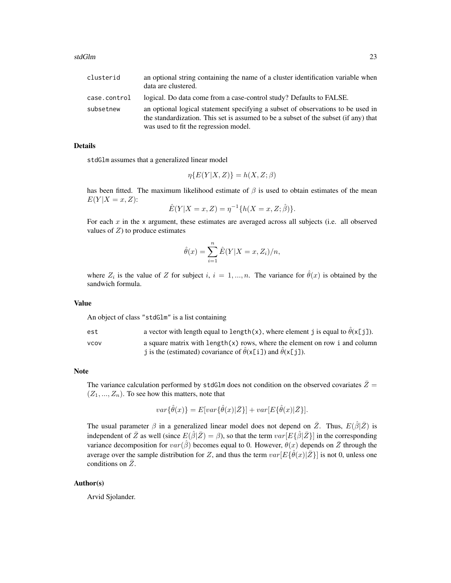| clusterid    | an optional string containing the name of a cluster identification variable when<br>data are clustered.                                                                                                         |
|--------------|-----------------------------------------------------------------------------------------------------------------------------------------------------------------------------------------------------------------|
| case.control | logical. Do data come from a case-control study? Defaults to FALSE.                                                                                                                                             |
| subsetnew    | an optional logical statement specifying a subset of observations to be used in<br>the standardization. This set is assumed to be a subset of the subset (if any) that<br>was used to fit the regression model. |

#### Details

stdGlm assumes that a generalized linear model

$$
\eta\{E(Y|X,Z)\} = h(X,Z;\beta)
$$

has been fitted. The maximum likelihood estimate of  $\beta$  is used to obtain estimates of the mean  $E(Y|X=x,Z)$ :

$$
\hat{E}(Y|X=x,Z) = \eta^{-1}\{h(X=x,Z;\hat{\beta})\}.
$$

For each  $x$  in the x argument, these estimates are averaged across all subjects (i.e. all observed values of  $Z$ ) to produce estimates

$$
\hat{\theta}(x) = \sum_{i=1}^{n} \hat{E}(Y|X=x, Z_i)/n,
$$

where  $Z_i$  is the value of Z for subject i,  $i = 1, ..., n$ . The variance for  $\hat{\theta}(x)$  is obtained by the sandwich formula.

#### Value

An object of class "stdGlm" is a list containing

| est         | a vector with length equal to length(x), where element j is equal to $\hat{\theta}(x[j])$ .                                                             |
|-------------|---------------------------------------------------------------------------------------------------------------------------------------------------------|
| <b>VCOV</b> | a square matrix with length $(x)$ rows, where the element on row i and column<br>j is the (estimated) covariance of $\theta(x[i])$ and $\theta(x[j])$ . |

#### Note

The variance calculation performed by stdGlm does not condition on the observed covariates  $\bar{Z}$  =  $(Z_1, ..., Z_n)$ . To see how this matters, note that

$$
var\{\hat{\theta}(x)\} = E[var\{\hat{\theta}(x)|\bar{Z}\}] + var[E\{\hat{\theta}(x)|\bar{Z}\}].
$$

The usual parameter  $\beta$  in a generalized linear model does not depend on  $\bar{Z}$ . Thus,  $E(\hat{\beta}|\bar{Z})$  is independent of  $\bar{Z}$  as well (since  $E(\hat{\beta}|\bar{Z}) = \beta$ ), so that the term  $var[E\{\hat{\beta}|\bar{Z}\}]$  in the corresponding variance decomposition for  $var(\hat{\beta})$  becomes equal to 0. However,  $\theta(x)$  depends on  $\overline{Z}$  through the average over the sample distribution for Z, and thus the term  $var[E\{\hat{\theta}(x)|\bar{Z}\}]$  is not 0, unless one conditions on  $\overline{Z}$ .

#### Author(s)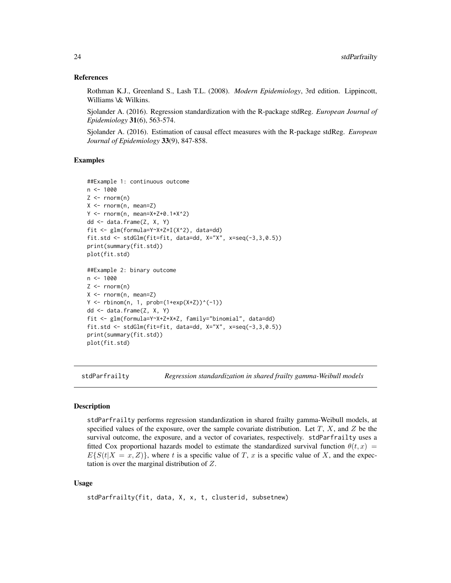#### References

Rothman K.J., Greenland S., Lash T.L. (2008). *Modern Epidemiology*, 3rd edition. Lippincott, Williams \& Wilkins.

Sjolander A. (2016). Regression standardization with the R-package stdReg. *European Journal of Epidemiology* 31(6), 563-574.

Sjolander A. (2016). Estimation of causal effect measures with the R-package stdReg. *European Journal of Epidemiology* 33(9), 847-858.

#### Examples

```
##Example 1: continuous outcome
n < - 1000Z \leq -rnorm(n)X \leq -rnorm(n, mean=Z)Y <- rnorm(n, mean=X+Z+0.1*X^2)
dd <- data.frame(Z, X, Y)
fit <- glm(formula=Y~X+Z+I(X^2), data=dd)
fit.std <- stdGlm(fit=fit, data=dd, X="X", x=seq(-3,3,0.5))
print(summary(fit.std))
plot(fit.std)
##Example 2: binary outcome
n < -1000Z \leftarrow \text{norm}(n)X \leq -rnorm(n, mean=Z)Y \le - rbinom(n, 1, prob=(1+exp(X+Z))^(-1))
dd <- data.frame(Z, X, Y)
fit <- glm(formula=Y~X+Z+X*Z, family="binomial", data=dd)
fit.std <- stdGlm(fit=fit, data=dd, X="X", x=seq(-3,3,0.5))
print(summary(fit.std))
plot(fit.std)
```
<span id="page-23-1"></span>stdParfrailty *Regression standardization in shared frailty gamma-Weibull models*

#### **Description**

stdParfrailty performs regression standardization in shared frailty gamma-Weibull models, at specified values of the exposure, over the sample covariate distribution. Let  $T$ ,  $X$ , and  $Z$  be the survival outcome, the exposure, and a vector of covariates, respectively. stdParfrailty uses a fitted Cox proportional hazards model to estimate the standardized survival function  $\theta(t, x)$  =  $E\{S(t|X=x,Z)\}\,$ , where t is a specific value of T, x is a specific value of X, and the expectation is over the marginal distribution of Z.

```
stdParfrailty(fit, data, X, x, t, clusterid, subsetnew)
```
<span id="page-23-0"></span>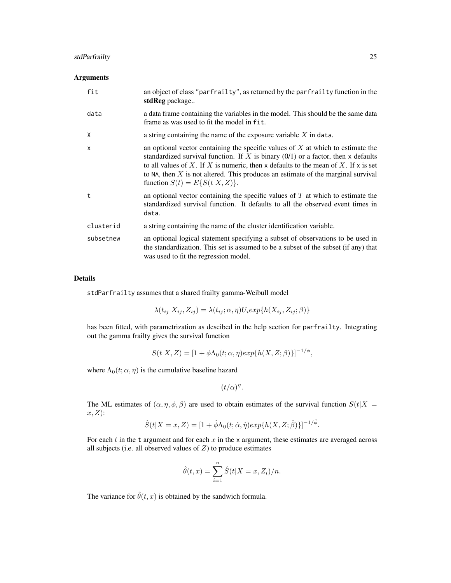#### stdParfrailty 25

#### Arguments

| fit       | an object of class "parfrailty", as returned by the parfrailty function in the<br>stdReg package                                                                                                                                                                                                                                                                                         |
|-----------|------------------------------------------------------------------------------------------------------------------------------------------------------------------------------------------------------------------------------------------------------------------------------------------------------------------------------------------------------------------------------------------|
| data      | a data frame containing the variables in the model. This should be the same data<br>frame as was used to fit the model in fit.                                                                                                                                                                                                                                                           |
| X         | a string containing the name of the exposure variable $X$ in data.                                                                                                                                                                                                                                                                                                                       |
| X         | an optional vector containing the specific values of $X$ at which to estimate the<br>standardized survival function. If X is binary $(0/1)$ or a factor, then x defaults<br>to all values of X. If X is numeric, then x defaults to the mean of X. If x is set<br>to NA, then $X$ is not altered. This produces an estimate of the marginal survival<br>function $S(t) = E\{S(t X,Z)\}.$ |
| t         | an optional vector containing the specific values of $T$ at which to estimate the<br>standardized survival function. It defaults to all the observed event times in<br>data.                                                                                                                                                                                                             |
| clusterid | a string containing the name of the cluster identification variable.                                                                                                                                                                                                                                                                                                                     |
| subsetnew | an optional logical statement specifying a subset of observations to be used in<br>the standardization. This set is assumed to be a subset of the subset (if any) that<br>was used to fit the regression model.                                                                                                                                                                          |

#### Details

stdParfrailty assumes that a shared frailty gamma-Weibull model

$$
\lambda(t_{ij}|X_{ij}, Z_{ij}) = \lambda(t_{ij}; \alpha, \eta) U_i exp\{h(X_{ij}, Z_{ij}; \beta)\}
$$

has been fitted, with parametrization as descibed in the help section for parfrailty. Integrating out the gamma frailty gives the survival function

$$
S(t|X,Z) = [1 + \phi \Lambda_0(t;\alpha,\eta) exp\{h(X,Z;\beta)\}]^{-1/\phi},
$$

where  $\Lambda_0(t; \alpha, \eta)$  is the cumulative baseline hazard

$$
(t/\alpha)^\eta.
$$

The ML estimates of  $(\alpha, \eta, \phi, \beta)$  are used to obtain estimates of the survival function  $S(t|X =$  $x, Z$ :

$$
\hat{S}(t|X=x,Z)=[1+\hat{\phi}\Lambda_0(t;\hat{\alpha},\hat{\eta})exp\{h(X,Z;\hat{\beta})\}]^{-1/\hat{\phi}}.
$$

For each  $t$  in the t argument and for each  $x$  in the x argument, these estimates are averaged across all subjects (i.e. all observed values of  $Z$ ) to produce estimates

$$
\hat{\theta}(t,x) = \sum_{i=1}^{n} \hat{S}(t|X = x, Z_i)/n.
$$

The variance for  $\hat{\theta}(t, x)$  is obtained by the sandwich formula.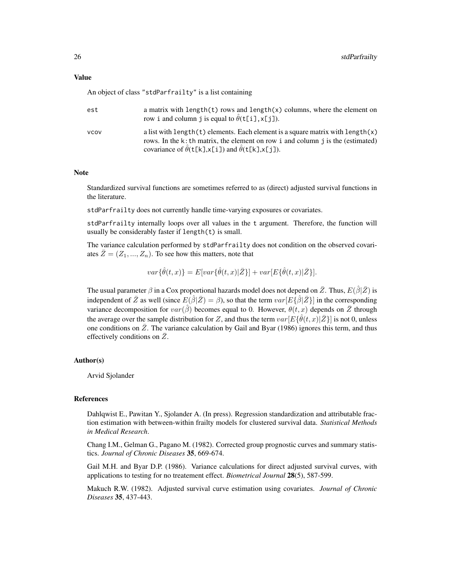#### Value

An object of class "stdParfrailty" is a list containing

| est         | a matrix with length $(t)$ rows and length $(x)$ columns, where the element on<br>row i and column j is equal to $\hat{\theta}$ (t[i], x[j]).                                                                                                       |
|-------------|-----------------------------------------------------------------------------------------------------------------------------------------------------------------------------------------------------------------------------------------------------|
| <b>VCOV</b> | a list with length $(t)$ elements. Each element is a square matrix with length $(x)$<br>rows. In the k: th matrix, the element on row i and column j is the (estimated)<br>covariance of $\hat{\theta}$ (t[k],x[i]) and $\hat{\theta}$ (t[k],x[j]). |

#### Note

Standardized survival functions are sometimes referred to as (direct) adjusted survival functions in the literature.

stdParfrailty does not currently handle time-varying exposures or covariates.

stdParfrailty internally loops over all values in the t argument. Therefore, the function will usually be considerably faster if length(t) is small.

The variance calculation performed by stdParfrailty does not condition on the observed covariates  $\bar{Z} = (Z_1, ..., Z_n)$ . To see how this matters, note that

$$
var\{\hat{\theta}(t,x)\} = E[var\{\hat{\theta}(t,x)|\bar{Z}\}] + var[E\{\hat{\theta}(t,x)|\bar{Z}\}].
$$

The usual parameter  $\beta$  in a Cox proportional hazards model does not depend on  $\bar{Z}$ . Thus,  $E(\hat{\beta}|\bar{Z})$  is independent of  $\bar{Z}$  as well (since  $E(\hat{\beta}|\bar{Z}) = \beta$ ), so that the term  $var[E\{\hat{\beta}|\bar{Z}\}]$  in the corresponding variance decomposition for  $var(\hat{\beta})$  becomes equal to 0. However,  $\theta(t, x)$  depends on  $\overline{Z}$  through the average over the sample distribution for Z, and thus the term  $var[E\{\hat{\theta}(t,x)|\bar{Z}\}]$  is not 0, unless one conditions on  $\overline{Z}$ . The variance calculation by Gail and Byar (1986) ignores this term, and thus effectively conditions on  $\overline{Z}$ .

#### Author(s)

Arvid Sjolander

#### References

Dahlqwist E., Pawitan Y., Sjolander A. (In press). Regression standardization and attributable fraction estimation with between-within frailty models for clustered survival data. *Statistical Methods in Medical Research*.

Chang I.M., Gelman G., Pagano M. (1982). Corrected group prognostic curves and summary statistics. *Journal of Chronic Diseases* 35, 669-674.

Gail M.H. and Byar D.P. (1986). Variance calculations for direct adjusted survival curves, with applications to testing for no treatement effect. *Biometrical Journal* 28(5), 587-599.

Makuch R.W. (1982). Adjusted survival curve estimation using covariates. *Journal of Chronic Diseases* 35, 437-443.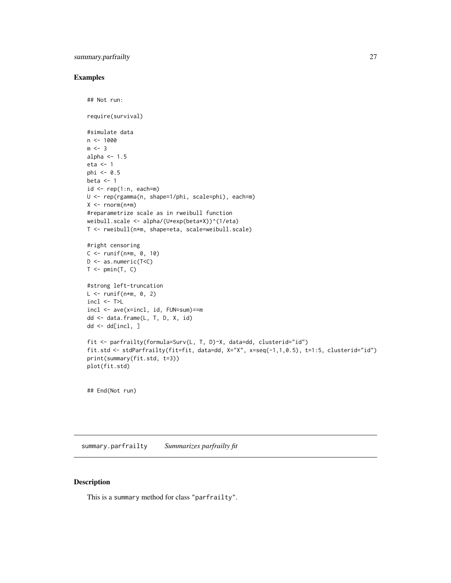#### <span id="page-26-0"></span>summary.parfrailty 27

#### Examples

```
## Not run:
require(survival)
#simulate data
n < -1000m \leq -3alpha <-1.5eta <- 1
phi \leq -0.5beta <-1id \leq rep(1:n, each=m)U <- rep(rgamma(n, shape=1/phi, scale=phi), each=m)
X \leq -\text{norm}(n*m)#reparametrize scale as in rweibull function
weibull.scale <- alpha/(U*exp(beta*X))^(1/eta)
T <- rweibull(n*m, shape=eta, scale=weibull.scale)
#right censoring
C \le runif(n*m, 0, 10)
D <- as.numeric(T<C)
T \leftarrow pmin(T, C)#strong left-truncation
L \leftarrow runif(n*m, 0, 2)incl \leftarrow T>Lincl <- ave(x=incl, id, FUN=sum)==m
dd <- data.frame(L, T, D, X, id)
dd <- dd[incl, ]
fit <- parfrailty(formula=Surv(L, T, D)~X, data=dd, clusterid="id")
fit.std <- stdParfrailty(fit=fit, data=dd, X="X", x=seq(-1,1,0.5), t=1:5, clusterid="id")
print(summary(fit.std, t=3))
plot(fit.std)
```
## End(Not run)

summary.parfrailty *Summarizes parfrailty fit*

#### Description

This is a summary method for class "parfrailty".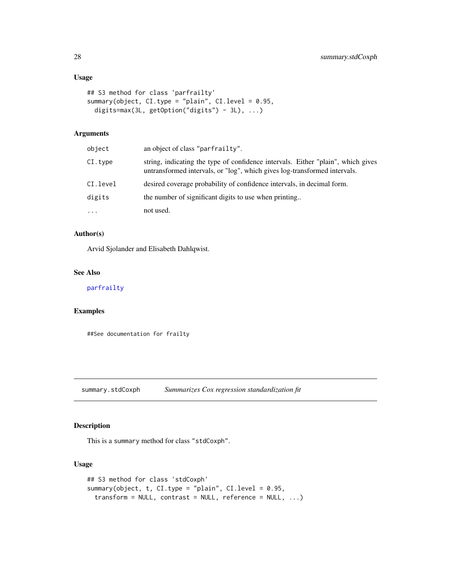#### Usage

```
## S3 method for class 'parfrailty'
summary(object, CI.type = "plain", CI.level = 0.95,
 digits=max(3L, getOption("digits") - 3L), ...)
```
# Arguments

| object   | an object of class "parfrailty".                                                                                                                              |
|----------|---------------------------------------------------------------------------------------------------------------------------------------------------------------|
| CI.type  | string, indicating the type of confidence intervals. Either "plain", which gives<br>untransformed intervals, or "log", which gives log-transformed intervals. |
| CI.level | desired coverage probability of confidence intervals, in decimal form.                                                                                        |
| digits   | the number of significant digits to use when printing                                                                                                         |
| $\cdots$ | not used.                                                                                                                                                     |

## Author(s)

Arvid Sjolander and Elisabeth Dahlqwist.

#### See Also

#### [parfrailty](#page-7-1)

#### Examples

##See documentation for frailty

summary.stdCoxph *Summarizes Cox regression standardization fit*

#### Description

This is a summary method for class "stdCoxph".

```
## S3 method for class 'stdCoxph'
summary(object, t, CI.type = "plain", CI.level = 0.95,
 transform = NULL, contrast = NULL, reference = NULL, ...)
```
<span id="page-27-0"></span>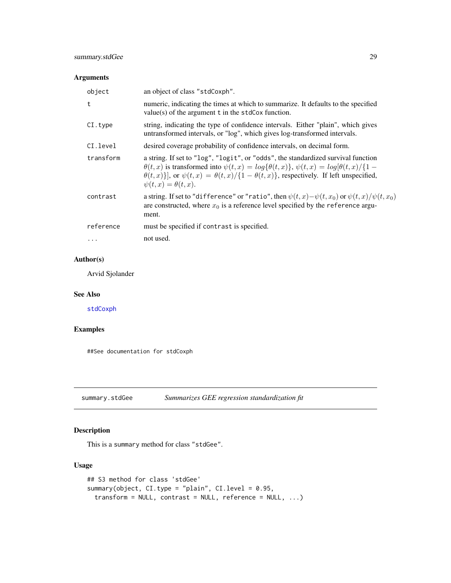# <span id="page-28-0"></span>Arguments

| object    | an object of class "stdCoxph".                                                                                                                                                                                                                                                                                                             |
|-----------|--------------------------------------------------------------------------------------------------------------------------------------------------------------------------------------------------------------------------------------------------------------------------------------------------------------------------------------------|
| t         | numeric, indicating the times at which to summarize. It defaults to the specified<br>$value(s)$ of the argument t in the stdCox function.                                                                                                                                                                                                  |
| CI.type   | string, indicating the type of confidence intervals. Either "plain", which gives<br>untransformed intervals, or "log", which gives log-transformed intervals.                                                                                                                                                                              |
| CI.level  | desired coverage probability of confidence intervals, on decimal form.                                                                                                                                                                                                                                                                     |
| transform | a string. If set to "log", "logit", or "odds", the standardized survival function<br>$\theta(t,x)$ is transformed into $\psi(t,x) = \log{\{\theta(t,x)\}}$ , $\psi(t,x) = \log{\theta(t,x)}/\{1-\}$<br>$\theta(t,x)$ ], or $\psi(t,x) = \theta(t,x)/\{1-\theta(t,x)\}\$ , respectively. If left unspecified,<br>$\psi(t,x) = \theta(t,x).$ |
| contrast  | a string. If set to "difference" or "ratio", then $\psi(t,x) - \psi(t,x_0)$ or $\psi(t,x)/\psi(t,x_0)$<br>are constructed, where $x_0$ is a reference level specified by the reference argu-<br>ment.                                                                                                                                      |
| reference | must be specified if contrast is specified.                                                                                                                                                                                                                                                                                                |
|           | not used.                                                                                                                                                                                                                                                                                                                                  |

# Author(s)

Arvid Sjolander

#### See Also

[stdCoxph](#page-16-1)

#### Examples

##See documentation for stdCoxph

summary.stdGee *Summarizes GEE regression standardization fit*

# Description

This is a summary method for class "stdGee".

```
## S3 method for class 'stdGee'
summary(object, CI.type = "plain", CI.level = 0.95,
 transform = NULL, contrast = NULL, reference = NULL, ...)
```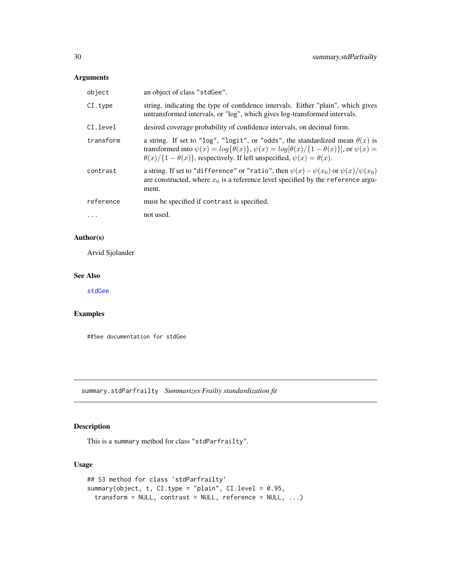#### <span id="page-29-0"></span>Arguments

| object    | an object of class "stdGee".                                                                                                                                                                                                                                                                           |
|-----------|--------------------------------------------------------------------------------------------------------------------------------------------------------------------------------------------------------------------------------------------------------------------------------------------------------|
| CI.type   | string, indicating the type of confidence intervals. Either "plain", which gives<br>untransformed intervals, or "log", which gives log-transformed intervals.                                                                                                                                          |
| CI.level  | desired coverage probability of confidence intervals, on decimal form.                                                                                                                                                                                                                                 |
| transform | a string. If set to "log", "logit", or "odds", the standardized mean $\theta(x)$ is<br>transformed into $\psi(x) = \log{\{\theta(x)\}}$ , $\psi(x) = \log{\theta(x)}/\{1-\theta(x)\}\}\$ , or $\psi(x) =$<br>$\theta(x)/\{1-\theta(x)\}\$ , respectively. If left unspecified, $\psi(x) = \theta(x)$ . |
| contrast  | a string. If set to "difference" or "ratio", then $\psi(x) - \psi(x_0)$ or $\psi(x)/\psi(x_0)$<br>are constructed, where $x_0$ is a reference level specified by the reference argu-<br>ment.                                                                                                          |
| reference | must be specified if contrast is specified.                                                                                                                                                                                                                                                            |
| $\cdots$  | not used.                                                                                                                                                                                                                                                                                              |

### Author(s)

Arvid Sjolander

#### See Also

[stdGee](#page-19-1)

#### Examples

##See documentation for stdGee

summary.stdParfrailty *Summarizes Frailty standardization fit*

# Description

This is a summary method for class "stdParfrailty".

```
## S3 method for class 'stdParfrailty'
summary(object, t, CI.type = "plain", CI.level = 0.95,
 transform = NULL, contrast = NULL, reference = NULL, ...)
```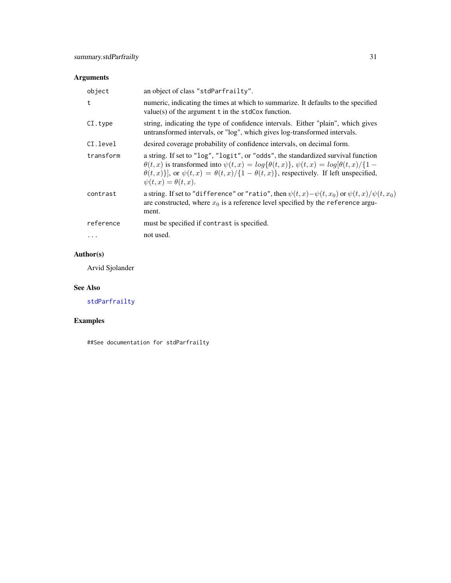# <span id="page-30-0"></span>Arguments

| object    | an object of class "stdParfrailty".                                                                                                                                                                                                                                                                                                            |
|-----------|------------------------------------------------------------------------------------------------------------------------------------------------------------------------------------------------------------------------------------------------------------------------------------------------------------------------------------------------|
| t         | numeric, indicating the times at which to summarize. It defaults to the specified<br>$value(s)$ of the argument t in the stdCox function.                                                                                                                                                                                                      |
| CI.type   | string, indicating the type of confidence intervals. Either "plain", which gives<br>untransformed intervals, or "log", which gives log-transformed intervals.                                                                                                                                                                                  |
| CI.level  | desired coverage probability of confidence intervals, on decimal form.                                                                                                                                                                                                                                                                         |
| transform | a string. If set to "log", "logit", or "odds", the standardized survival function<br>$\theta(t,x)$ is transformed into $\psi(t,x) = log{\theta(t,x)}$ , $\psi(t,x) = log[\theta(t,x)/{1 - \theta(t,x)}$<br>$\theta(t,x)$ ], or $\psi(t,x) = \theta(t,x)/\{1-\theta(t,x)\}\$ , respectively. If left unspecified,<br>$\psi(t,x) = \theta(t,x).$ |
| contrast  | a string. If set to "difference" or "ratio", then $\psi(t,x) - \psi(t,x_0)$ or $\psi(t,x)/\psi(t,x_0)$<br>are constructed, where $x_0$ is a reference level specified by the reference argu-<br>ment.                                                                                                                                          |
| reference | must be specified if contrast is specified.                                                                                                                                                                                                                                                                                                    |
|           | not used.                                                                                                                                                                                                                                                                                                                                      |

# Author(s)

Arvid Sjolander

### See Also

[stdParfrailty](#page-23-1)

# Examples

##See documentation for stdParfrailty